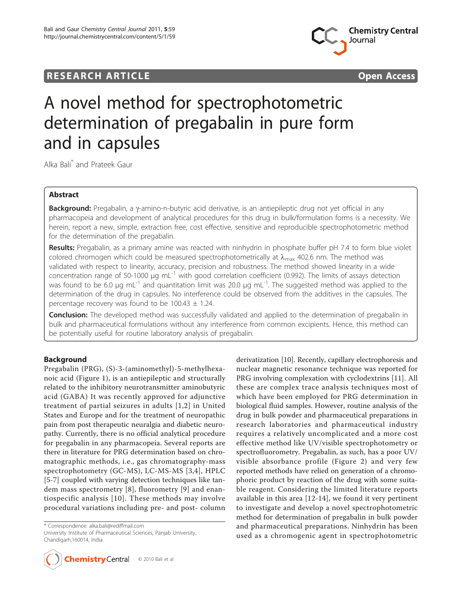## **RESEARCH ARTICLE Example 2008 CONSIDERING ACCESS**



# A novel method for spectrophotometric determination of pregabalin in pure form and in capsules

Alka Bali\* and Prateek Gaur

## Abstract

Background: Pregabalin, a y-amino-n-butyric acid derivative, is an antiepileptic drug not yet official in any pharmacopeia and development of analytical procedures for this drug in bulk/formulation forms is a necessity. We herein, report a new, simple, extraction free, cost effective, sensitive and reproducible spectrophotometric method for the determination of the pregabalin.

Results: Pregabalin, as a primary amine was reacted with ninhydrin in phosphate buffer pH 7.4 to form blue violet colored chromogen which could be measured spectrophotometrically at  $\lambda_{\text{max}}$  402.6 nm. The method was validated with respect to linearity, accuracy, precision and robustness. The method showed linearity in a wide concentration range of 50-1000  $\mu$ g mL<sup>-1</sup> with good correlation coefficient (0.992). The limits of assays detection was found to be 6.0 μg mL<sup>-1</sup> and quantitation limit was 20.0 μg mL<sup>-1</sup>. The suggested method was applied to the determination of the drug in capsules. No interference could be observed from the additives in the capsules. The percentage recovery was found to be 100.43  $\pm$  1.24.

**Conclusion:** The developed method was successfully validated and applied to the determination of pregabalin in bulk and pharmaceutical formulations without any interference from common excipients. Hence, this method can be potentially useful for routine laboratory analysis of pregabalin.

## Background

Pregabalin (PRG), (S)-3-(aminomethyl)-5-methylhexanoic acid (Figure [1\)](#page-1-0), is an antiepileptic and structurally related to the inhibitory neurotransmitter aminobutyric acid (GABA) It was recently approved for adjunctive treatment of partial seizures in adults [\[1,2](#page-5-0)] in United States and Europe and for the treatment of neuropathic pain from post therapeutic neuralgia and diabetic neuropathy. Currently, there is no official analytical procedure for pregabalin in any pharmacopeia. Several reports are there in literature for PRG determination based on chromatographic methods, i.e., gas chromatography-mass spectrophotometry (GC-MS), LC-MS-MS [[3,4\]](#page-5-0), HPLC [[5-7](#page-6-0)] coupled with varying detection techniques like tandem mass spectrometry [[8\]](#page-6-0), fluorometry [[9](#page-6-0)] and enantiospecific analysis [[10](#page-6-0)]. These methods may involve procedural variations including pre- and post- column

\* Correspondence: [alka.bali@rediffmail.com](mailto:alka.bali@rediffmail.com)

University Institute of Pharmaceutical Sciences, Panjab University, Chandigarh,160014, India



derivatization [[10](#page-6-0)]. Recently, capillary electrophoresis and nuclear magnetic resonance technique was reported for PRG involving complexation with cyclodextrins [\[11\]](#page-6-0). All these are complex trace analysis techniques most of which have been employed for PRG determination in biological fluid samples. However, routine analysis of the drug in bulk powder and pharmaceutical preparations in research laboratories and pharmaceutical industry requires a relatively uncomplicated and a more cost effective method like UV/visible spectrophotometry or spectrofluorometry. Pregabalin, as such, has a poor UV/ visible absorbance profile (Figure [2](#page-1-0)) and very few reported methods have relied on generation of a chromophoric product by reaction of the drug with some suitable reagent. Considering the limited literature reports available in this area [[12-14](#page-6-0)], we found it very pertinent to investigate and develop a novel spectrophotometric method for determination of pregabalin in bulk powder and pharmaceutical preparations. Ninhydrin has been used as a chromogenic agent in spectrophotometric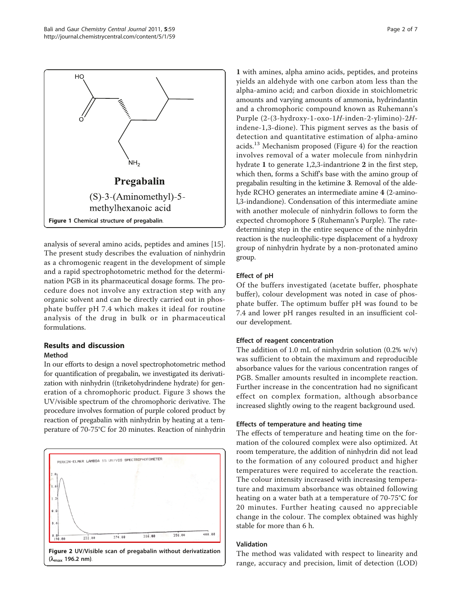<span id="page-1-0"></span>

analysis of several amino acids, peptides and amines [\[15](#page-6-0)]. The present study describes the evaluation of ninhydrin as a chromogenic reagent in the development of simple and a rapid spectrophotometric method for the determination PGB in its pharmaceutical dosage forms. The procedure does not involve any extraction step with any organic solvent and can be directly carried out in phosphate buffer pH 7.4 which makes it ideal for routine analysis of the drug in bulk or in pharmaceutical formulations.

## Results and discussion Method

In our efforts to design a novel spectrophotometric method for quantification of pregabalin, we investigated its derivatization with ninhydrin ((triketohydrindene hydrate) for generation of a chromophoric product. Figure [3](#page-2-0) shows the UV/visible spectrum of the chromophoric derivative. The procedure involves formation of purple colored product by reaction of pregabalin with ninhydrin by heating at a temperature of 70-75°C for 20 minutes. Reaction of ninhydrin



1 with amines, alpha amino acids, peptides, and proteins yields an aldehyde with one carbon atom less than the alpha-amino acid; and carbon dioxide in stoichlometric amounts and varying amounts of ammonia, hydrindantin and a chromophoric compound known as Ruhemann's Purple (2-(3-hydroxy-1-oxo-1H-inden-2-ylimino)-2Hindene-1,3-dione). This pigment serves as the basis of detection and quantitative estimation of alpha-amino acids.<sup>13</sup> Mechanism proposed (Figure [4\)](#page-2-0) for the reaction involves removal of a water molecule from ninhydrin hydrate 1 to generate 1,2,3-indantrione 2 in the first step, which then, forms a Schiff's base with the amino group of pregabalin resulting in the ketimine 3. Removal of the aldehyde RCHO generates an intermediate amine 4 (2-aminol,3-indandione). Condensation of this intermediate amine with another molecule of ninhydrin follows to form the expected chromophore 5 (Ruhemann's Purple). The ratedetermining step in the entire sequence of the ninhydrin reaction is the nucleophilic-type displacement of a hydroxy group of ninhydrin hydrate by a non-protonated amino group.

## Effect of pH

Of the buffers investigated (acetate buffer, phosphate buffer), colour development was noted in case of phosphate buffer. The optimum buffer pH was found to be 7.4 and lower pH ranges resulted in an insufficient colour development.

## Effect of reagent concentration

The addition of 1.0 mL of ninhydrin solution  $(0.2\% \text{ w/v})$ was sufficient to obtain the maximum and reproducible absorbance values for the various concentration ranges of PGB. Smaller amounts resulted in incomplete reaction. Further increase in the concentration had no significant effect on complex formation, although absorbance increased slightly owing to the reagent background used.

## Effects of temperature and heating time

The effects of temperature and heating time on the formation of the coloured complex were also optimized. At room temperature, the addition of ninhydrin did not lead to the formation of any coloured product and higher temperatures were required to accelerate the reaction. The colour intensity increased with increasing temperature and maximum absorbance was obtained following heating on a water bath at a temperature of 70-75°C for 20 minutes. Further heating caused no appreciable change in the colour. The complex obtained was highly stable for more than 6 h.

## Validation

The method was validated with respect to linearity and range, accuracy and precision, limit of detection (LOD)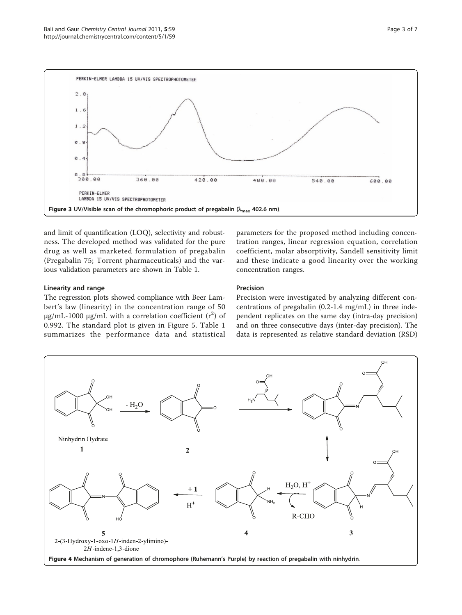<span id="page-2-0"></span>

and limit of quantification (LOQ), selectivity and robustness. The developed method was validated for the pure drug as well as marketed formulation of pregabalin (Pregabalin 75; Torrent pharmaceuticals) and the various validation parameters are shown in Table [1](#page-3-0).

## Linearity and range

The regression plots showed compliance with Beer Lambert's law (linearity) in the concentration range of 50 μg/mL-1000 μg/mL with a correlation coefficient  $(r^2)$  of 0.992. The standard plot is given in Figure [5](#page-3-0). Table [1](#page-3-0) summarizes the performance data and statistical

parameters for the proposed method including concentration ranges, linear regression equation, correlation coefficient, molar absorptivity, Sandell sensitivity limit and these indicate a good linearity over the working concentration ranges.

## Precision

Precision were investigated by analyzing different concentrations of pregabalin (0.2-1.4 mg/mL) in three independent replicates on the same day (intra-day precision) and on three consecutive days (inter-day precision). The data is represented as relative standard deviation (RSD)

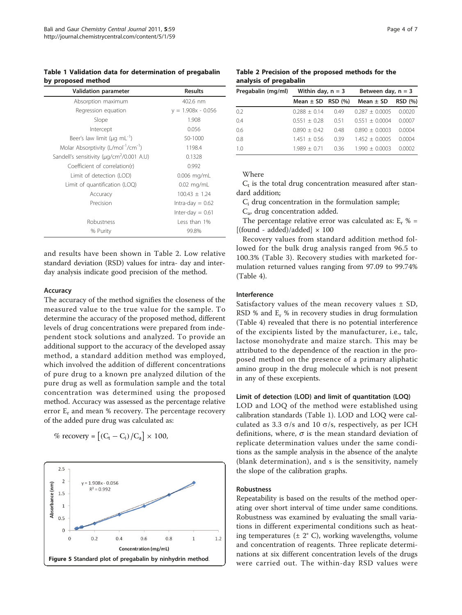<span id="page-3-0"></span>Table 1 Validation data for determination of pregabalin by proposed method

| <b>Validation parameter</b>                                 | <b>Results</b>       |
|-------------------------------------------------------------|----------------------|
| Absorption maximum                                          | 402.6 nm             |
| Regression equation                                         | $y = 1.908x - 0.056$ |
| Slope                                                       | 1.908                |
| Intercept                                                   | 0.056                |
| Beer's law limit ( $\mu q$ mL <sup>-1</sup> )               | 50-1000              |
| Molar Absorptivity (L/mol <sup>-1</sup> /cm <sup>-1</sup> ) | 1198.4               |
| Sandell's sensitivity (µg/cm <sup>2</sup> /0.001 A.U)       | 0.1328               |
| Coefficient of correlation(r)                               | 0.992                |
| Limit of detection (LOD)                                    | $0.006$ mg/mL        |
| Limit of quantification (LOQ)                               | $0.02$ mg/mL         |
| Accuracy                                                    | $100.43 \pm 1.24$    |
| Precision                                                   | Intra-day $= 0.62$   |
|                                                             | Inter-day $= 0.61$   |
| Robustness                                                  | Less than 1%         |
| % Purity                                                    | 99.8%                |

and results have been shown in Table 2. Low relative standard deviation (RSD) values for intra- day and interday analysis indicate good precision of the method.

#### Accuracy

The accuracy of the method signifies the closeness of the measured value to the true value for the sample. To determine the accuracy of the proposed method, different levels of drug concentrations were prepared from independent stock solutions and analyzed. To provide an additional support to the accuracy of the developed assay method, a standard addition method was employed, which involved the addition of different concentrations of pure drug to a known pre analyzed dilution of the pure drug as well as formulation sample and the total concentration was determined using the proposed method. Accuracy was assessed as the percentage relative error  $E_r$  and mean % recovery. The percentage recovery of the added pure drug was calculated as:

$$
\% \text{ recovery} = \left[ \left( C_t - C_i \right) / C_a \right] \times 100,
$$



Table 2 Precision of the proposed methods for the analysis of pregabalin

| Pregabalin (mg/ml) | Within day, $n = 3$ |        | Between day, $n = 3$ |                |  |
|--------------------|---------------------|--------|----------------------|----------------|--|
|                    | Mean $\pm$ SD       | RSD(%) | Mean $\pm$ SD        | <b>RSD (%)</b> |  |
| 0.2                | $0.288 + 0.14$      | 049    | $0.287 + 0.0005$     | 0.0020         |  |
| 0.4                | $0.551 + 0.28$      | 051    | $0.551 + 0.0004$     | 0.0007         |  |
| 0.6                | $0.890 + 0.42$      | 0.48   | $0.890 + 0.0003$     | 0.0004         |  |
| 0.8                | $1.451 + 0.56$      | 0.39   | $1452 + 00005$       | 0.0004         |  |
| 1 <sub>0</sub>     | 1.989 + 0.71        | 036    | 1 990 + 0.0003       | 0.0002         |  |

Where

 $C_t$  is the total drug concentration measured after standard addition;

 $C_i$  drug concentration in the formulation sample;

Ca, drug concentration added.

The percentage relative error was calculated as:  $E_r$  % =  $[(found - added)/added] \times 100$ 

Recovery values from standard addition method followed for the bulk drug analysis ranged from 96.5 to 100.3% (Table [3\)](#page-4-0). Recovery studies with marketed formulation returned values ranging from 97.09 to 99.74% (Table [4\)](#page-4-0).

## Interference

Satisfactory values of the mean recovery values  $\pm$  SD, RSD % and Er % in recovery studies in drug formulation (Table [4](#page-4-0)) revealed that there is no potential interference of the excipients listed by the manufacturer, i.e., talc, lactose monohydrate and maize starch. This may be attributed to the dependence of the reaction in the proposed method on the presence of a primary aliphatic amino group in the drug molecule which is not present in any of these excepients.

## Limit of detection (LOD) and limit of quantitation (LOQ)

LOD and LOQ of the method were established using calibration standards (Table 1). LOD and LOQ were calculated as 3.3  $\sigma$ /s and 10  $\sigma$ /s, respectively, as per ICH definitions, where,  $\sigma$  is the mean standard deviation of replicate determination values under the same conditions as the sample analysis in the absence of the analyte (blank determination), and s is the sensitivity, namely the slope of the calibration graphs.

#### Robustness

Repeatability is based on the results of the method operating over short interval of time under same conditions. Robustness was examined by evaluating the small variations in different experimental conditions such as heating temperatures (± 2° C), working wavelengths, volume and concentration of reagents. Three replicate determinations at six different concentration levels of the drugs were carried out. The within-day RSD values were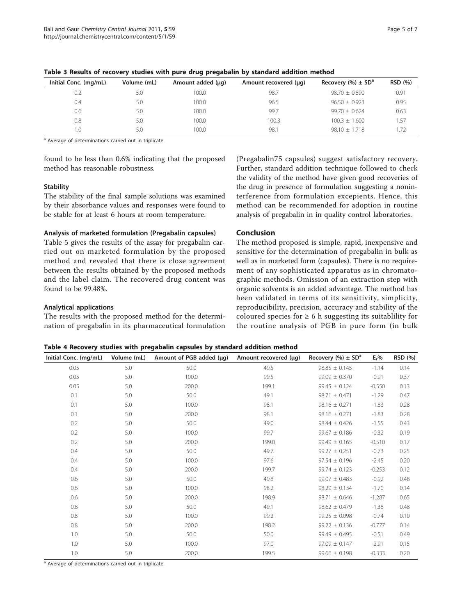| Initial Conc. (mg/mL) | Volume (mL) | Amount added $(\mu q)$ | Amount recovered (µq) | Recovery $%$ ± SD <sup>a</sup> | <b>RSD</b> (%) |
|-----------------------|-------------|------------------------|-----------------------|--------------------------------|----------------|
| 0.2                   | 5.0         | 100.0                  | 98.7                  | $98.70 + 0.890$                | 0.91           |
| 0.4                   | 5.0         | 100.0                  | 96.5                  | $96.50 + 0.923$                | 0.95           |
| 0.6                   | 5.0         | 100.0                  | 99.7                  | $99.70 + 0.624$                | 0.63           |
| 0.8                   | 5.0         | 100.0                  | 100.3                 | $100.3 + 1.600$                | 1.57           |
| 1.0                   | 5.0         | 100.0                  | 98.1                  | $98.10 + 1.718$                |                |

<span id="page-4-0"></span>Table 3 Results of recovery studies with pure drug pregabalin by standard addition method

<sup>a</sup> Average of determinations carried out in triplicate.

found to be less than 0.6% indicating that the proposed method has reasonable robustness.

## **Stability**

The stability of the final sample solutions was examined by their absorbance values and responses were found to be stable for at least 6 hours at room temperature.

## Analysis of marketed formulation (Pregabalin capsules)

Table [5](#page-5-0) gives the results of the assay for pregabalin carried out on marketed formulation by the proposed method and revealed that there is close agreement between the results obtained by the proposed methods and the label claim. The recovered drug content was found to be 99.48%.

## Analytical applications

The results with the proposed method for the determination of pregabalin in its pharmaceutical formulation

(Pregabalin75 capsules) suggest satisfactory recovery. Further, standard addition technique followed to check the validity of the method have given good recoveries of the drug in presence of formulation suggesting a noninterference from formulation excepients. Hence, this method can be recommended for adoption in routine analysis of pregabalin in in quality control laboratories.

## Conclusion

The method proposed is simple, rapid, inexpensive and sensitive for the determination of pregabalin in bulk as well as in marketed form (capsules). There is no requirement of any sophisticated apparatus as in chromatographic methods. Omission of an extraction step with organic solvents is an added advantage. The method has been validated in terms of its sensitivity, simplicity, reproducibility, precision, accuracy and stability of the coloured species for  $\geq 6$  h suggesting its suitablility for the routine analysis of PGB in pure form (in bulk

Table 4 Recovery studies with pregabalin capsules by standard addition method

| Initial Conc. (mg/mL) | Volume (mL) | Amount of PGB added (µg) | Amount recovered (µg) | Recovery $(\% ) \pm SD^a$ | $E_r$ %  | RSD (%) |
|-----------------------|-------------|--------------------------|-----------------------|---------------------------|----------|---------|
| 0.05                  | 5.0         | 50.0                     | 49.5                  | $98.85 \pm 0.145$         | $-1.14$  | 0.14    |
| 0.05                  | 5.0         | 100.0                    | 99.5                  | $99.09 \pm 0.370$         | $-0.91$  | 0.37    |
| 0.05                  | 5.0         | 200.0                    | 199.1                 | $99.45 \pm 0.124$         | $-0.550$ | 0.13    |
| 0.1                   | 5.0         | 50.0                     | 49.1                  | $98.71 \pm 0.471$         | $-1.29$  | 0.47    |
| 0.1                   | 5.0         | 100.0                    | 98.1                  | $98.16 \pm 0.271$         | $-1.83$  | 0.28    |
| 0.1                   | 5.0         | 200.0                    | 98.1                  | $98.16 \pm 0.271$         | $-1.83$  | 0.28    |
| 0.2                   | 5.0         | 50.0                     | 49.0                  | $98.44 \pm 0.426$         | $-1.55$  | 0.43    |
| 0.2                   | 5.0         | 100.0                    | 99.7                  | $99.67 \pm 0.186$         | $-0.32$  | 0.19    |
| 0.2                   | 5.0         | 200.0                    | 199.0                 | $99.49 \pm 0.165$         | $-0.510$ | 0.17    |
| 0.4                   | 5.0         | 50.0                     | 49.7                  | $99.27 \pm 0.251$         | $-0.73$  | 0.25    |
| 0.4                   | 5.0         | 100.0                    | 97.6                  | $97.54 \pm 0.196$         | $-2.45$  | 0.20    |
| 0.4                   | 5.0         | 200.0                    | 199.7                 | $99.74 \pm 0.123$         | $-0.253$ | 0.12    |
| 0.6                   | 5.0         | 50.0                     | 49.8                  | $99.07 \pm 0.483$         | $-0.92$  | 0.48    |
| 0.6                   | 5.0         | 100.0                    | 98.2                  | $98.29 \pm 0.134$         | $-1.70$  | 0.14    |
| 0.6                   | 5.0         | 200.0                    | 198.9                 | $98.71 \pm 0.646$         | $-1.287$ | 0.65    |
| 0.8                   | 5.0         | 50.0                     | 49.1                  | $98.62 \pm 0.479$         | $-1.38$  | 0.48    |
| 0.8                   | 5.0         | 100.0                    | 99.2                  | $99.25 \pm 0.098$         | $-0.74$  | 0.10    |
| 0.8                   | 5.0         | 200.0                    | 198.2                 | $99.22 \pm 0.136$         | $-0.777$ | 0.14    |
| 1.0                   | 5.0         | 50.0                     | 50.0                  | $99.49 \pm 0.495$         | $-0.51$  | 0.49    |
| 1.0                   | 5.0         | 100.0                    | 97.0                  | $97.09 \pm 0.147$         | $-2.91$  | 0.15    |
| 1.0                   | 5.0         | 200.0                    | 199.5                 | $99.66 \pm 0.198$         | $-0.333$ | 0.20    |

<sup>a</sup> Average of determinations carried out in triplicate.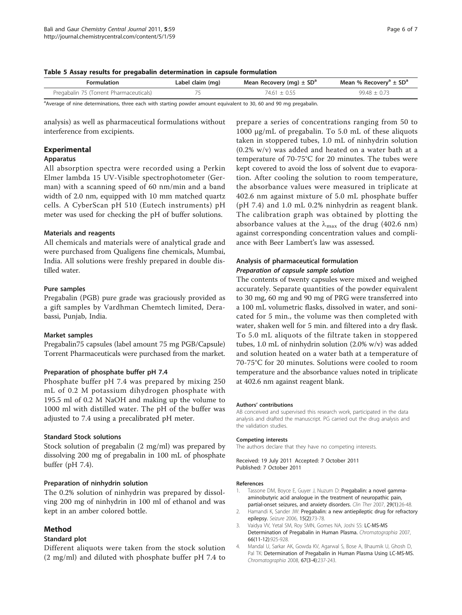<span id="page-5-0"></span>Table 5 Assay results for pregabalin determination in capsule formulation

| Formulation                             | Label claim (mg) | Mean Recovery (mg) $\pm$ SD <sup>a</sup> | Mean % Recovery <sup>a</sup> $\pm$ SD <sup>a</sup> |
|-----------------------------------------|------------------|------------------------------------------|----------------------------------------------------|
| Pregabalin 75 (Torrent Pharmaceuticals) |                  | 74.61 + 0.55                             | $99.48 + 0.73$                                     |

a Average of nine determinations, three each with starting powder amount equivalent to 30, 60 and 90 mg pregabalin.

analysis) as well as pharmaceutical formulations without interference from excipients.

## Experimental

#### Apparatus

All absorption spectra were recorded using a Perkin Elmer lambda 15 UV-Visible spectrophotometer (German) with a scanning speed of 60 nm/min and a band width of 2.0 nm, equipped with 10 mm matched quartz cells. A CyberScan pH 510 (Eutech instruments) pH meter was used for checking the pH of buffer solutions.

#### Materials and reagents

All chemicals and materials were of analytical grade and were purchased from Qualigens fine chemicals, Mumbai, India. All solutions were freshly prepared in double distilled water.

#### Pure samples

Pregabalin (PGB) pure grade was graciously provided as a gift samples by Vardhman Chemtech limited, Derabassi, Punjab, India.

#### Market samples

Pregabalin75 capsules (label amount 75 mg PGB/Capsule) Torrent Pharmaceuticals were purchased from the market.

#### Preparation of phosphate buffer pH 7.4

Phosphate buffer pH 7.4 was prepared by mixing 250 mL of 0.2 M potassium dihydrogen phosphate with 195.5 ml of 0.2 M NaOH and making up the volume to 1000 ml with distilled water. The pH of the buffer was adjusted to 7.4 using a precalibrated pH meter.

#### Standard Stock solutions

Stock solution of pregabalin (2 mg/ml) was prepared by dissolving 200 mg of pregabalin in 100 mL of phosphate buffer (pH 7.4).

#### Preparation of ninhydrin solution

The 0.2% solution of ninhydrin was prepared by dissolving 200 mg of ninhydrin in 100 ml of ethanol and was kept in an amber colored bottle.

## Method

#### Standard plot

Different aliquots were taken from the stock solution (2 mg/ml) and diluted with phosphate buffer pH 7.4 to

prepare a series of concentrations ranging from 50 to 1000 μg/mL of pregabalin. To 5.0 mL of these aliquots taken in stoppered tubes, 1.0 mL of ninhydrin solution (0.2% w/v) was added and heated on a water bath at a temperature of 70-75°C for 20 minutes. The tubes were kept covered to avoid the loss of solvent due to evaporation. After cooling the solution to room temperature, the absorbance values were measured in triplicate at 402.6 nm against mixture of 5.0 mL phosphate buffer (pH 7.4) and 1.0 mL 0.2% ninhydrin as reagent blank. The calibration graph was obtained by plotting the absorbance values at the  $\lambda_{\text{max}}$  of the drug (402.6 nm) against corresponding concentration values and compliance with Beer Lambert's law was assessed.

## Analysis of pharmaceutical formulation Preparation of capsule sample solution

The contents of twenty capsules were mixed and weighed accurately. Separate quantities of the powder equivalent to 30 mg, 60 mg and 90 mg of PRG were transferred into a 100 mL volumetric flasks, dissolved in water, and sonicated for 5 min., the volume was then completed with water, shaken well for 5 min. and filtered into a dry flask. To 5.0 mL aliquots of the filtrate taken in stoppered tubes, 1.0 mL of ninhydrin solution (2.0% w/v) was added and solution heated on a water bath at a temperature of 70-75°C for 20 minutes. Solutions were cooled to room temperature and the absorbance values noted in triplicate at 402.6 nm against reagent blank.

#### Authors' contributions

AB conceived and supervised this research work, participated in the data analysis and drafted the manuscript. PG carried out the drug analysis and the validation studies.

#### Competing interests

The authors declare that they have no competing interests.

Received: 19 July 2011 Accepted: 7 October 2011 Published: 7 October 2011

#### References

- Tassone DM, Boyce E, Guyer J, Nuzum D: [Pregabalin: a novel gamma](http://www.ncbi.nlm.nih.gov/pubmed/17379045?dopt=Abstract)[aminobutyric acid analogue in the treatment of neuropathic pain,](http://www.ncbi.nlm.nih.gov/pubmed/17379045?dopt=Abstract) [partial-onset seizures, and anxiety disorders.](http://www.ncbi.nlm.nih.gov/pubmed/17379045?dopt=Abstract) Clin Ther 2007, 29(1):26-48.
- 2. Hamandi K, Sander JW: [Pregabalin: a new antiepileptic drug for refractory](http://www.ncbi.nlm.nih.gov/pubmed/16413993?dopt=Abstract) [epilepsy.](http://www.ncbi.nlm.nih.gov/pubmed/16413993?dopt=Abstract) Seizure 2006, 15(2):73-78.
- 3. Vaidya W, Yetal SM, Roy SMN, Gomes NA, Joshi SS: LC-MS-MS Determination of Pregabalin in Human Plasma. Chromatographia 2007, 66(11-12):925-928.
- 4. Mandal U, Sarkar AK, Gowda KV, Agarwal S, Bose A, Bhaumik U, Ghosh D, Pal TK: Determination of Pregabalin in Human Plasma Using LC-MS-MS. Chromatographia 2008, 67(3-4):237-243.